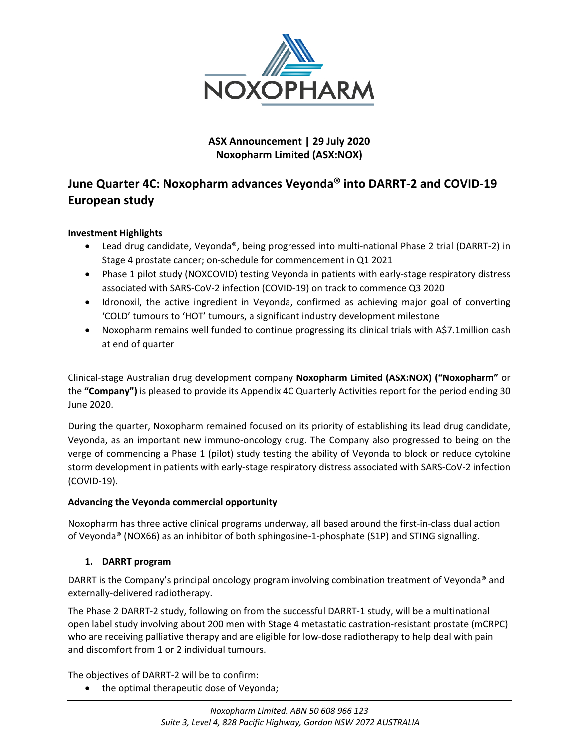

## **ASX Announcement | 29 July 2020 Noxopharm Limited (ASX:NOX)**

## **June Quarter 4C: Noxopharm advances Veyonda into DARRT-2 and COVID-19 European study**

## **Investment Highlights**

- Lead drug candidate, Veyonda®, being progressed into multi-national Phase 2 trial (DARRT-2) in Stage 4 prostate cancer; on-schedule for commencement in Q1 2021
- Phase 1 pilot study (NOXCOVID) testing Veyonda in patients with early-stage respiratory distress associated with SARS-CoV-2 infection (COVID-19) on track to commence Q3 2020
- Idronoxil, the active ingredient in Veyonda, confirmed as achieving major goal of converting 'COLD' tumours to 'HOT' tumours, a significant industry development milestone
- Noxopharm remains well funded to continue progressing its clinical trials with A\$7.1million cash at end of quarter

Clinical-stage Australian drug development company **Noxopharm Limited (ASX:NOX) ("Noxopharm"** or the **"Company")** is pleased to provide its Appendix 4C Quarterly Activities report for the period ending 30 June 2020.

During the quarter, Noxopharm remained focused on its priority of establishing its lead drug candidate, Veyonda, as an important new immuno-oncology drug. The Company also progressed to being on the verge of commencing a Phase 1 (pilot) study testing the ability of Veyonda to block or reduce cytokine storm development in patients with early-stage respiratory distress associated with SARS-CoV-2 infection (COVID-19).

## **Advancing the Veyonda commercial opportunity**

Noxopharm has three active clinical programs underway, all based around the first-in-class dual action of Veyonda® (NOX66) as an inhibitor of both sphingosine-1-phosphate (S1P) and STING signalling.

## **1. DARRT program**

DARRT is the Company's principal oncology program involving combination treatment of Veyonda® and externally-delivered radiotherapy.

The Phase 2 DARRT-2 study, following on from the successful DARRT-1 study, will be a multinational open label study involving about 200 men with Stage 4 metastatic castration-resistant prostate (mCRPC) who are receiving palliative therapy and are eligible for low-dose radiotherapy to help deal with pain and discomfort from 1 or 2 individual tumours.

The objectives of DARRT-2 will be to confirm:

• the optimal therapeutic dose of Veyonda;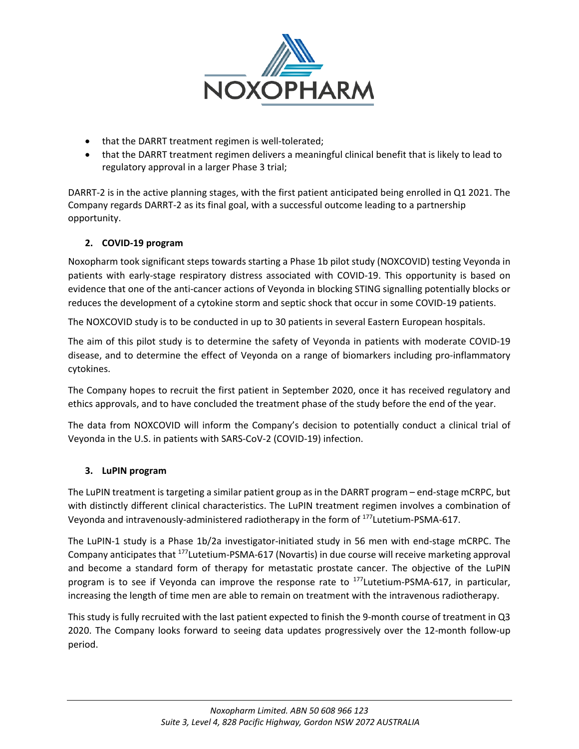

- that the DARRT treatment regimen is well-tolerated;
- that the DARRT treatment regimen delivers a meaningful clinical benefit that is likely to lead to regulatory approval in a larger Phase 3 trial;

DARRT-2 is in the active planning stages, with the first patient anticipated being enrolled in Q1 2021. The Company regards DARRT-2 as its final goal, with a successful outcome leading to a partnership opportunity.

## **2. COVID-19 program**

Noxopharm took significant steps towards starting a Phase 1b pilot study (NOXCOVID) testing Veyonda in patients with early-stage respiratory distress associated with COVID-19. This opportunity is based on evidence that one of the anti-cancer actions of Veyonda in blocking STING signalling potentially blocks or reduces the development of a cytokine storm and septic shock that occur in some COVID-19 patients.

The NOXCOVID study is to be conducted in up to 30 patients in several Eastern European hospitals.

The aim of this pilot study is to determine the safety of Veyonda in patients with moderate COVID-19 disease, and to determine the effect of Veyonda on a range of biomarkers including pro-inflammatory cytokines.

The Company hopes to recruit the first patient in September 2020, once it has received regulatory and ethics approvals, and to have concluded the treatment phase of the study before the end of the year.

The data from NOXCOVID will inform the Company's decision to potentially conduct a clinical trial of Veyonda in the U.S. in patients with SARS-CoV-2 (COVID-19) infection.

## **3. LuPIN program**

The LuPIN treatment is targeting a similar patient group as in the DARRT program – end-stage mCRPC, but with distinctly different clinical characteristics. The LuPIN treatment regimen involves a combination of Veyonda and intravenously-administered radiotherapy in the form of 177Lutetium-PSMA-617.

The LuPIN-1 study is a Phase 1b/2a investigator-initiated study in 56 men with end-stage mCRPC. The Company anticipates that 177Lutetium-PSMA-617 (Novartis) in due course will receive marketing approval and become a standard form of therapy for metastatic prostate cancer. The objective of the LuPIN program is to see if Veyonda can improve the response rate to <sup>177</sup>Lutetium-PSMA-617, in particular, increasing the length of time men are able to remain on treatment with the intravenous radiotherapy.

This study is fully recruited with the last patient expected to finish the 9-month course of treatment in Q3 2020. The Company looks forward to seeing data updates progressively over the 12-month follow-up period.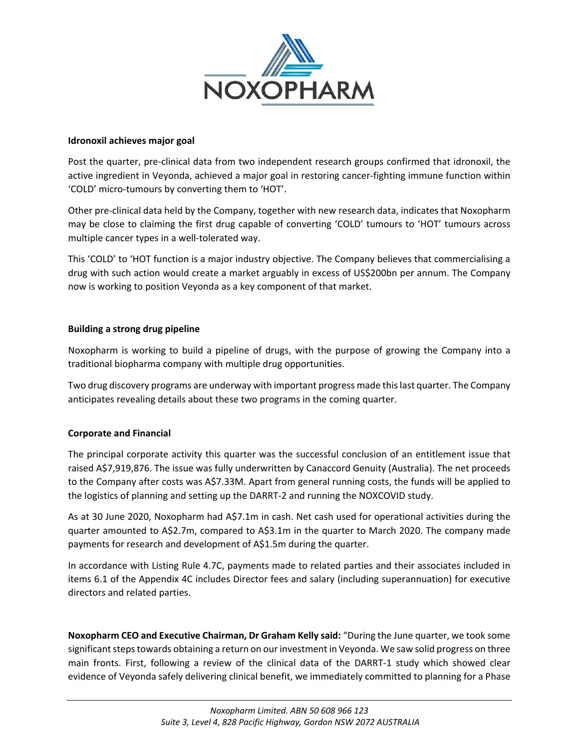

### **Idronoxil achieves major goal**

Post the quarter, pre-clinical data from two independent research groups confirmed that idronoxil, the active ingredient in Veyonda, achieved a major goal in restoring cancer-fighting immune function within 'COLD' micro-tumours by converting them to 'HOT'.

Other pre-clinical data held by the Company, together with new research data, indicates that Noxopharm may be close to claiming the first drug capable of converting 'COLD' tumours to 'HOT' tumours across multiple cancer types in a well-tolerated way.

This 'COLD' to 'HOT function is a major industry objective. The Company believes that commercialising a drug with such action would create a market arguably in excess of US\$200bn per annum. The Company now is working to position Veyonda as a key component of that market.

## **Building a strong drug pipeline**

Noxopharm is working to build a pipeline of drugs, with the purpose of growing the Company into a traditional biopharma company with multiple drug opportunities.

Two drug discovery programs are underway with important progress made this last quarter. The Company anticipates revealing details about these two programs in the coming quarter.

## **Corporate and Financial**

The principal corporate activity this quarter was the successful conclusion of an entitlement issue that raised A\$7,919,876. The issue was fully underwritten by Canaccord Genuity (Australia). The net proceeds to the Company after costs was A\$7.33M. Apart from general running costs, the funds will be applied to the logistics of planning and setting up the DARRT-2 and running the NOXCOVID study.

As at 30 June 2020, Noxopharm had A\$7.1m in cash. Net cash used for operational activities during the quarter amounted to A\$2.7m, compared to A\$3.1m in the quarter to March 2020. The company made payments for research and development of A\$1.5m during the quarter.

In accordance with Listing Rule 4.7C, payments made to related parties and their associates included in items 6.1 of the Appendix 4C includes Director fees and salary (including superannuation) for executive directors and related parties.

**Noxopharm CEO and Executive Chairman, Dr Graham Kelly said:** "During the June quarter, we took some significant steps towards obtaining a return on our investment in Veyonda. We saw solid progress on three main fronts. First, following a review of the clinical data of the DARRT-1 study which showed clear evidence of Veyonda safely delivering clinical benefit, we immediately committed to planning for a Phase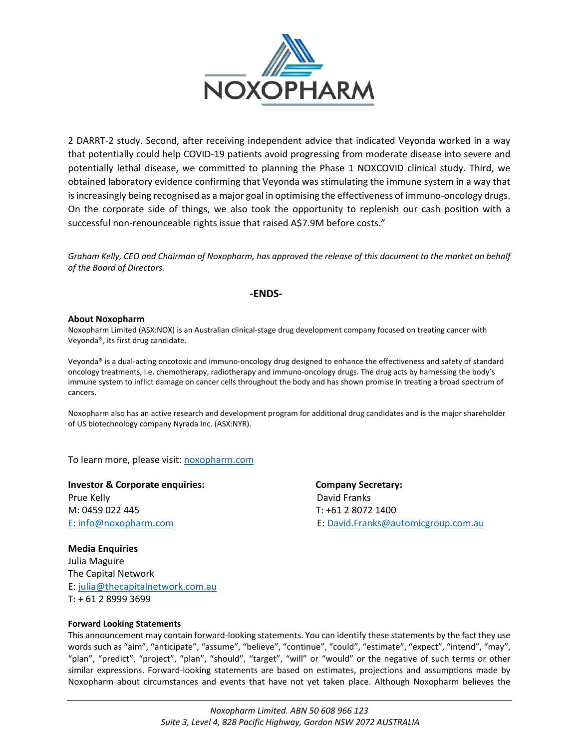

2 DARRT-2 study. Second, after receiving independent advice that indicated Veyonda worked in a way that potentially could help COVID-19 patients avoid progressing from moderate disease into severe and potentially lethal disease, we committed to planning the Phase 1 NOXCOVID clinical study. Third, we obtained laboratory evidence confirming that Veyonda was stimulating the immune system in a way that is increasingly being recognised as a major goal in optimising the effectiveness of immuno-oncology drugs. On the corporate side of things, we also took the opportunity to replenish our cash position with a successful non-renounceable rights issue that raised A\$7.9M before costs."

*Graham Kelly, CEO and Chairman of Noxopharm, has approved the release of this document to the market on behalf of the Board of Directors.*

#### **-ENDS-**

#### **About Noxopharm**

Noxopharm Limited (ASX:NOX) is an Australian clinical-stage drug development company focused on treating cancer with Veyonda®, its first drug candidate.

Veyonda**®** is a dual-acting oncotoxic and immuno-oncology drug designed to enhance the effectiveness and safety of standard oncology treatments, i.e. chemotherapy, radiotherapy and immuno-oncology drugs. The drug acts by harnessing the body's immune system to inflict damage on cancer cells throughout the body and has shown promise in treating a broad spectrum of cancers.

Noxopharm also has an active research and development program for additional drug candidates and is the major shareholder of US biotechnology company Nyrada Inc. (ASX:NYR).

To learn more, please visit: [noxopharm.com](https://www.noxopharm.com/site/content/)

**Investor & Corporate enquiries: Company Secretary:**  Prue Kelly David Franks M: 0459 022 445 T: +61 2 8072 1400

E: [info@noxopharm.com](mailto:info@noxopharm.com) E: [David.Franks@automicgroup.com.au](mailto:David.Franks@automicgroup.com.au)

**Media Enquiries**  Julia Maguire The Capital Network E: [julia@thecapitalnetwork.com.au](mailto:julia@thecapitalnetwork.com.au) T: + 61 2 8999 3699

#### **Forward Looking Statements**

This announcement may contain forward-looking statements. You can identify these statements by the fact they use words such as "aim", "anticipate", "assume", "believe", "continue", "could", "estimate", "expect", "intend", "may", "plan", "predict", "project", "plan", "should", "target", "will" or "would" or the negative of such terms or other similar expressions. Forward-looking statements are based on estimates, projections and assumptions made by Noxopharm about circumstances and events that have not yet taken place. Although Noxopharm believes the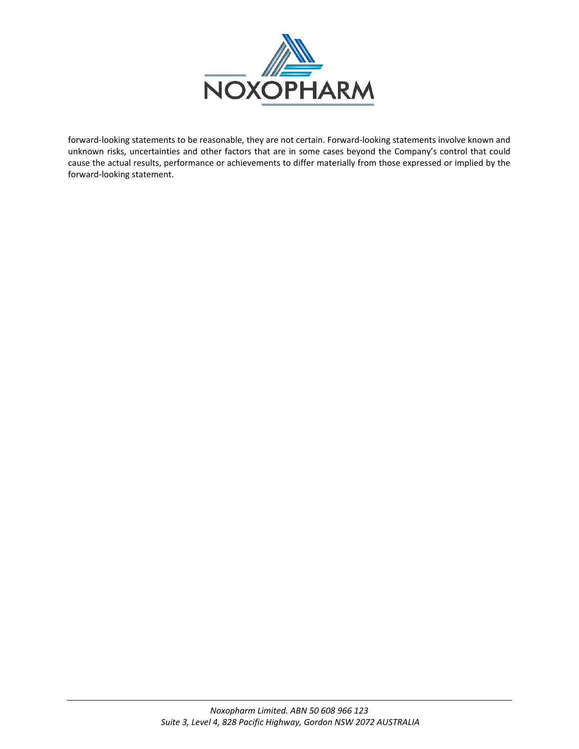

forward-looking statements to be reasonable, they are not certain. Forward-looking statements involve known and unknown risks, uncertainties and other factors that are in some cases beyond the Company's control that could cause the actual results, performance or achievements to differ materially from those expressed or implied by the forward-looking statement.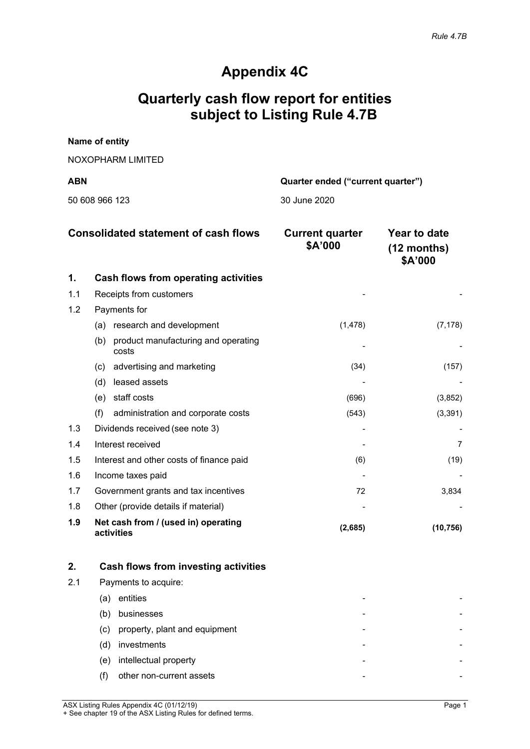# **Appendix 4C**

# **Quarterly cash flow report for entities subject to Listing Rule 4.7B**

| <b>ABN</b>        | Quarter ended ("current quarter") |
|-------------------|-----------------------------------|
| NOXOPHARM LIMITED |                                   |
| Name of entity    |                                   |

|  | 50 608 966 123 |  |
|--|----------------|--|
|  |                |  |

30 June 2020

| <b>Consolidated statement of cash flows</b> |                                                     | <b>Current quarter</b><br>\$A'000 | Year to date<br>$(12$ months)<br>\$A'000 |
|---------------------------------------------|-----------------------------------------------------|-----------------------------------|------------------------------------------|
| 1.                                          | <b>Cash flows from operating activities</b>         |                                   |                                          |
| 1.1                                         | Receipts from customers                             |                                   |                                          |
| 1.2                                         | Payments for                                        |                                   |                                          |
|                                             | research and development<br>(a)                     | (1, 478)                          | (7, 178)                                 |
|                                             | product manufacturing and operating<br>(b)<br>costs |                                   |                                          |
|                                             | advertising and marketing<br>(c)                    | (34)                              | (157)                                    |
|                                             | leased assets<br>(d)                                |                                   |                                          |
|                                             | staff costs<br>(e)                                  | (696)                             | (3, 852)                                 |
|                                             | (f)<br>administration and corporate costs           | (543)                             | (3, 391)                                 |
| 1.3                                         | Dividends received (see note 3)                     |                                   |                                          |
| 1.4                                         | Interest received                                   |                                   |                                          |
| 1.5                                         | Interest and other costs of finance paid            | (6)                               | (19)                                     |
| 1.6                                         | Income taxes paid                                   |                                   |                                          |
| 1.7                                         | Government grants and tax incentives                | 72                                | 3,834                                    |
| 1.8                                         | Other (provide details if material)                 |                                   |                                          |
| 1.9                                         | Net cash from / (used in) operating<br>activities   | (2,685)                           | (10, 756)                                |

|     |     | Cash flows from investing activities |  |
|-----|-----|--------------------------------------|--|
| 2.1 |     | Payments to acquire:                 |  |
|     | (a) | entities                             |  |
|     | (b) | businesses                           |  |
|     | (c) | property, plant and equipment        |  |
|     | (d) | investments                          |  |
|     | (e) | intellectual property                |  |
|     |     | other non-current assets             |  |

ASX Listing Rules Appendix 4C (01/12/19) Page 1 + See chapter 19 of the ASX Listing Rules for defined terms.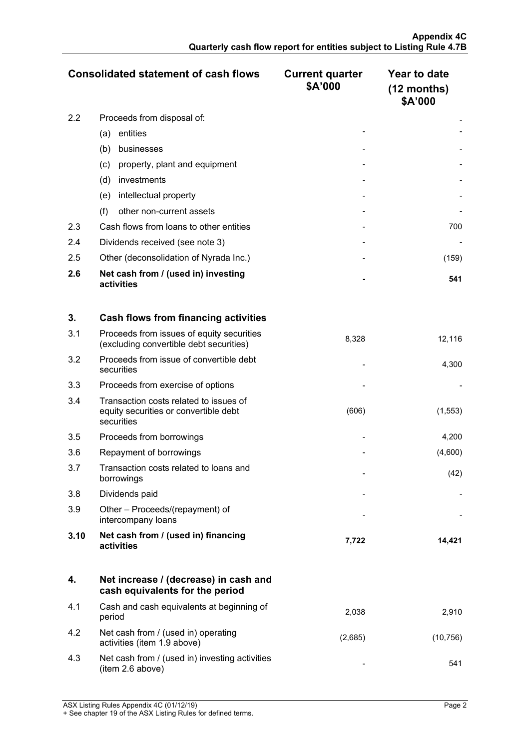|     | <b>Consolidated statement of cash flows</b>       | <b>Current quarter</b><br>\$A'000 | Year to date<br>$(12$ months)<br>\$A'000 |
|-----|---------------------------------------------------|-----------------------------------|------------------------------------------|
| 2.2 | Proceeds from disposal of:                        |                                   |                                          |
|     | entities<br>(a)                                   |                                   |                                          |
|     | (b)<br>businesses                                 |                                   |                                          |
|     | property, plant and equipment<br>(c)              |                                   |                                          |
|     | (d)<br>investments                                |                                   |                                          |
|     | intellectual property<br>(e)                      |                                   |                                          |
|     | (f)<br>other non-current assets                   |                                   |                                          |
| 2.3 | Cash flows from loans to other entities           |                                   | 700                                      |
| 2.4 | Dividends received (see note 3)                   |                                   |                                          |
| 2.5 | Other (deconsolidation of Nyrada Inc.)            |                                   | (159)                                    |
| 2.6 | Net cash from / (used in) investing<br>activities |                                   | 541                                      |

| 3.   | <b>Cash flows from financing activities</b>                                                   |       |          |
|------|-----------------------------------------------------------------------------------------------|-------|----------|
| 3.1  | Proceeds from issues of equity securities<br>(excluding convertible debt securities)          | 8,328 | 12,116   |
| 3.2  | Proceeds from issue of convertible debt<br>securities                                         |       | 4,300    |
| 3.3  | Proceeds from exercise of options                                                             |       |          |
| 3.4  | Transaction costs related to issues of<br>equity securities or convertible debt<br>securities | (606) | (1, 553) |
| 3.5  | Proceeds from borrowings                                                                      |       | 4,200    |
| 3.6  | Repayment of borrowings                                                                       |       | (4,600)  |
| 3.7  | Transaction costs related to loans and<br>borrowings                                          |       | (42)     |
| 3.8  | Dividends paid                                                                                |       |          |
| 3.9  | Other – Proceeds/(repayment) of<br>intercompany loans                                         |       |          |
| 3.10 | Net cash from / (used in) financing<br>activities                                             | 7,722 | 14,421   |

|     | Net increase / (decrease) in cash and<br>cash equivalents for the period |        |          |
|-----|--------------------------------------------------------------------------|--------|----------|
| 4.1 | Cash and cash equivalents at beginning of<br>period                      | 2.038  | 2.910    |
| 4.2 | Net cash from / (used in) operating<br>activities (item 1.9 above)       | (2.685 | (10.756) |
| 4.3 | Net cash from / (used in) investing activities<br>(item 2.6 above)       |        |          |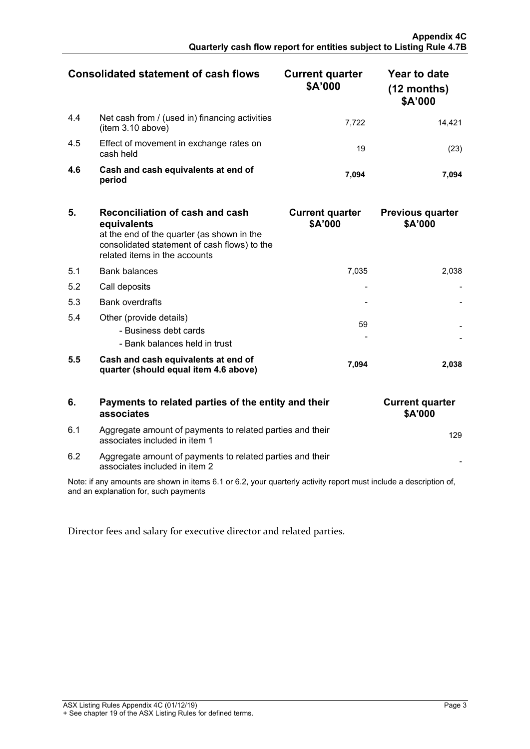|     | Consolidated statement of cash flows                                | <b>Current quarter</b><br>\$A'000 | Year to date<br>$(12$ months)<br>\$A'000 |
|-----|---------------------------------------------------------------------|-----------------------------------|------------------------------------------|
| 4.4 | Net cash from / (used in) financing activities<br>(item 3.10 above) | 7.722                             |                                          |
| 4.5 | Effect of movement in exchange rates on<br>cash held                | 19                                |                                          |
| 4.6 | Cash and cash equivalents at end of<br>period                       | 7.094                             |                                          |

| 5.  | Reconciliation of cash and cash<br>equivalents<br>at the end of the quarter (as shown in the<br>consolidated statement of cash flows) to the<br>related items in the accounts | <b>Current quarter</b><br>\$A'000 | <b>Previous quarter</b><br>\$A'000 |
|-----|-------------------------------------------------------------------------------------------------------------------------------------------------------------------------------|-----------------------------------|------------------------------------|
| 5.1 | <b>Bank balances</b>                                                                                                                                                          | 7.035                             | 2.038                              |
| 5.2 | Call deposits                                                                                                                                                                 |                                   |                                    |
| 5.3 | <b>Bank overdrafts</b>                                                                                                                                                        |                                   |                                    |
| 5.4 | Other (provide details)<br>- Business debt cards<br>- Bank balances held in trust                                                                                             | 59                                |                                    |
| 5.5 | Cash and cash equivalents at end of<br>quarter (should equal item 4.6 above)                                                                                                  | 7.094                             | 2.038                              |

## **6. Payments to related parties of the entity and their associates**

| 6.1 | Aggregate amount of payments to related parties and their | 129 |
|-----|-----------------------------------------------------------|-----|
|     | associates included in item 1                             |     |

| 6.2<br>Aggregate amount of payments to related parties and their<br>associates included in item 2 |  |
|---------------------------------------------------------------------------------------------------|--|

| <b>Current quarter</b><br>\$A'000 |
|-----------------------------------|
| 129                               |
|                                   |

Note: if any amounts are shown in items 6.1 or 6.2, your quarterly activity report must include a description of, and an explanation for, such payments

Director fees and salary for executive director and related parties.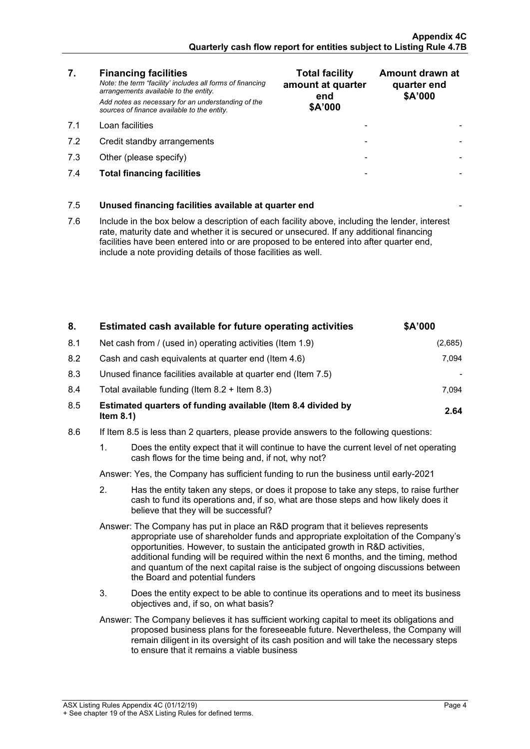## **7. Financing facilities**

- 
- 7.2 Credit standby arrangements
- $7.3$  Other (please specify)
- **7.4 Total financing facilities**

| 7.  | <b>Financing facilities</b><br>Note: the term "facility' includes all forms of financing<br>arrangements available to the entity. | <b>Total facility</b><br>amount at quarter<br>end | Amount drawn at<br>quarter end<br>\$A'000 |
|-----|-----------------------------------------------------------------------------------------------------------------------------------|---------------------------------------------------|-------------------------------------------|
|     | Add notes as necessary for an understanding of the<br>sources of finance available to the entity.                                 | \$A'000                                           |                                           |
| 71  | Loan facilities                                                                                                                   |                                                   |                                           |
| 7.2 | Credit standby arrangements                                                                                                       |                                                   |                                           |
| 7.3 | Other (please specify)                                                                                                            |                                                   |                                           |
| 74  | <b>Total financing facilities</b>                                                                                                 |                                                   |                                           |

## 7.5 **Unused financing facilities available at quarter end** -

7.6 Include in the box below a description of each facility above, including the lender, interest rate, maturity date and whether it is secured or unsecured. If any additional financing facilities have been entered into or are proposed to be entered into after quarter end, include a note providing details of those facilities as well.

| 8.  | Estimated cash available for future operating activities                     | \$A'000 |
|-----|------------------------------------------------------------------------------|---------|
| 8.1 | Net cash from / (used in) operating activities (Item 1.9)                    | (2,685) |
| 8.2 | Cash and cash equivalents at quarter end (Item 4.6)                          | 7.094   |
| 8.3 | Unused finance facilities available at quarter end (Item 7.5)                |         |
| 8.4 | Total available funding (Item $8.2 +$ Item $8.3$ )                           | 7.094   |
| 8.5 | Estimated quarters of funding available (Item 8.4 divided by<br>Item $8.1$ ) | 2.64    |

- 8.6 If Item 8.5 is less than 2 quarters, please provide answers to the following questions:
	- 1. Does the entity expect that it will continue to have the current level of net operating cash flows for the time being and, if not, why not?

Answer: Yes, the Company has sufficient funding to run the business until early-2021

2. Has the entity taken any steps, or does it propose to take any steps, to raise further cash to fund its operations and, if so, what are those steps and how likely does it believe that they will be successful?

Answer: The Company has put in place an R&D program that it believes represents appropriate use of shareholder funds and appropriate exploitation of the Company's opportunities. However, to sustain the anticipated growth in R&D activities, additional funding will be required within the next 6 months, and the timing, method and quantum of the next capital raise is the subject of ongoing discussions between the Board and potential funders

3. Does the entity expect to be able to continue its operations and to meet its business objectives and, if so, on what basis?

Answer: The Company believes it has sufficient working capital to meet its obligations and proposed business plans for the foreseeable future. Nevertheless, the Company will remain diligent in its oversight of its cash position and will take the necessary steps to ensure that it remains a viable business